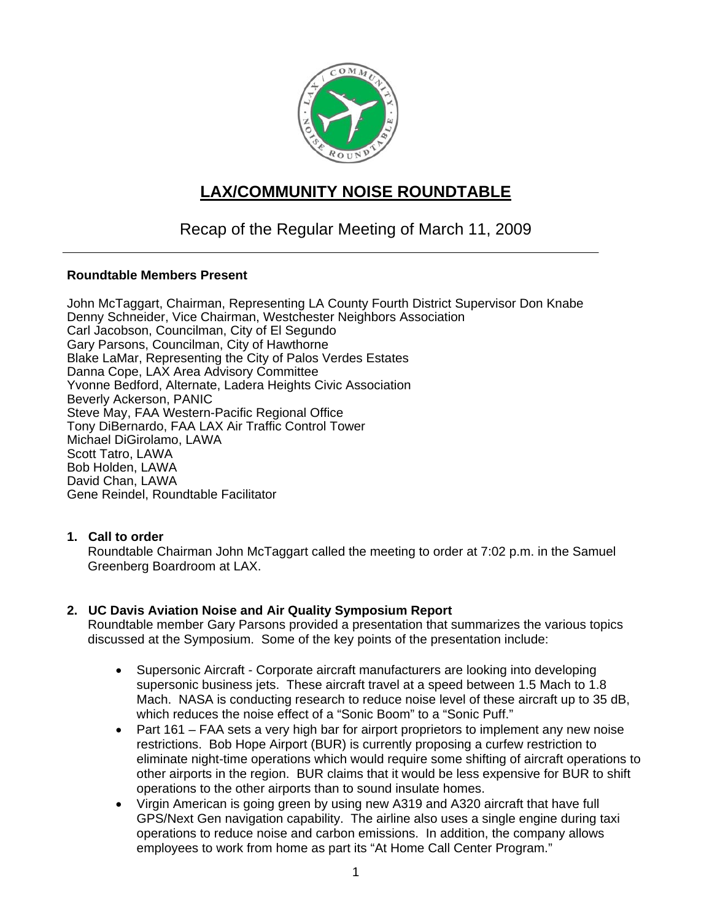

# **LAX/COMMUNITY NOISE ROUNDTABLE**

# Recap of the Regular Meeting of March 11, 2009

# **Roundtable Members Present**

John McTaggart, Chairman, Representing LA County Fourth District Supervisor Don Knabe Denny Schneider, Vice Chairman, Westchester Neighbors Association Carl Jacobson, Councilman, City of El Segundo Gary Parsons, Councilman, City of Hawthorne Blake LaMar, Representing the City of Palos Verdes Estates Danna Cope, LAX Area Advisory Committee Yvonne Bedford, Alternate, Ladera Heights Civic Association Beverly Ackerson, PANIC Steve May, FAA Western-Pacific Regional Office Tony DiBernardo, FAA LAX Air Traffic Control Tower Michael DiGirolamo, LAWA Scott Tatro, LAWA Bob Holden, LAWA David Chan, LAWA Gene Reindel, Roundtable Facilitator

# **1. Call to order**

Roundtable Chairman John McTaggart called the meeting to order at 7:02 p.m. in the Samuel Greenberg Boardroom at LAX.

# **2. UC Davis Aviation Noise and Air Quality Symposium Report**

Roundtable member Gary Parsons provided a presentation that summarizes the various topics discussed at the Symposium. Some of the key points of the presentation include:

- Supersonic Aircraft Corporate aircraft manufacturers are looking into developing supersonic business jets. These aircraft travel at a speed between 1.5 Mach to 1.8 Mach. NASA is conducting research to reduce noise level of these aircraft up to 35 dB, which reduces the noise effect of a "Sonic Boom" to a "Sonic Puff."
- Part 161 FAA sets a very high bar for airport proprietors to implement any new noise restrictions. Bob Hope Airport (BUR) is currently proposing a curfew restriction to eliminate night-time operations which would require some shifting of aircraft operations to other airports in the region. BUR claims that it would be less expensive for BUR to shift operations to the other airports than to sound insulate homes.
- Virgin American is going green by using new A319 and A320 aircraft that have full GPS/Next Gen navigation capability. The airline also uses a single engine during taxi operations to reduce noise and carbon emissions. In addition, the company allows employees to work from home as part its "At Home Call Center Program."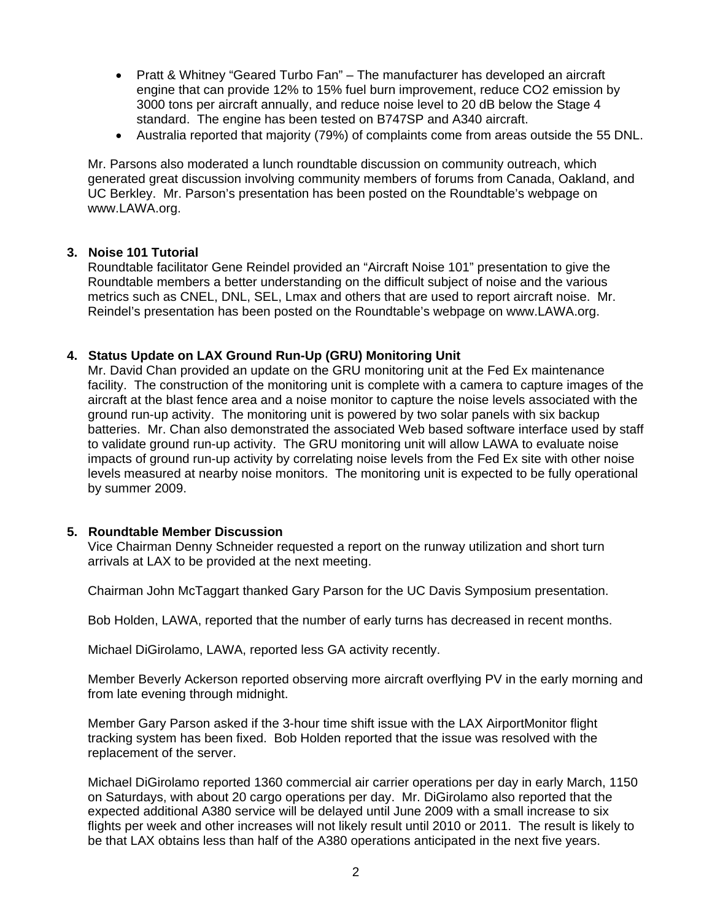- Pratt & Whitney "Geared Turbo Fan" The manufacturer has developed an aircraft engine that can provide 12% to 15% fuel burn improvement, reduce CO2 emission by 3000 tons per aircraft annually, and reduce noise level to 20 dB below the Stage 4 standard. The engine has been tested on B747SP and A340 aircraft.
- Australia reported that majority (79%) of complaints come from areas outside the 55 DNL.

Mr. Parsons also moderated a lunch roundtable discussion on community outreach, which generated great discussion involving community members of forums from Canada, Oakland, and UC Berkley. Mr. Parson's presentation has been posted on the Roundtable's webpage on www.LAWA.org.

#### **3. Noise 101 Tutorial**

Roundtable facilitator Gene Reindel provided an "Aircraft Noise 101" presentation to give the Roundtable members a better understanding on the difficult subject of noise and the various metrics such as CNEL, DNL, SEL, Lmax and others that are used to report aircraft noise. Mr. Reindel's presentation has been posted on the Roundtable's webpage on www.LAWA.org.

#### **4. Status Update on LAX Ground Run-Up (GRU) Monitoring Unit**

Mr. David Chan provided an update on the GRU monitoring unit at the Fed Ex maintenance facility. The construction of the monitoring unit is complete with a camera to capture images of the aircraft at the blast fence area and a noise monitor to capture the noise levels associated with the ground run-up activity. The monitoring unit is powered by two solar panels with six backup batteries. Mr. Chan also demonstrated the associated Web based software interface used by staff to validate ground run-up activity. The GRU monitoring unit will allow LAWA to evaluate noise impacts of ground run-up activity by correlating noise levels from the Fed Ex site with other noise levels measured at nearby noise monitors. The monitoring unit is expected to be fully operational by summer 2009.

#### **5. Roundtable Member Discussion**

Vice Chairman Denny Schneider requested a report on the runway utilization and short turn arrivals at LAX to be provided at the next meeting.

Chairman John McTaggart thanked Gary Parson for the UC Davis Symposium presentation.

Bob Holden, LAWA, reported that the number of early turns has decreased in recent months.

Michael DiGirolamo, LAWA, reported less GA activity recently.

Member Beverly Ackerson reported observing more aircraft overflying PV in the early morning and from late evening through midnight.

Member Gary Parson asked if the 3-hour time shift issue with the LAX AirportMonitor flight tracking system has been fixed. Bob Holden reported that the issue was resolved with the replacement of the server.

Michael DiGirolamo reported 1360 commercial air carrier operations per day in early March, 1150 on Saturdays, with about 20 cargo operations per day. Mr. DiGirolamo also reported that the expected additional A380 service will be delayed until June 2009 with a small increase to six flights per week and other increases will not likely result until 2010 or 2011. The result is likely to be that LAX obtains less than half of the A380 operations anticipated in the next five years.